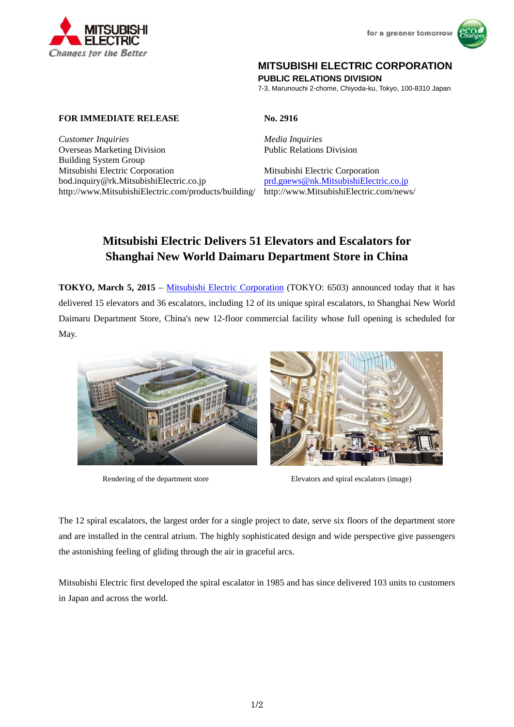



# **MITSUBISHI ELECTRIC CORPORATION**

**PUBLIC RELATIONS DIVISION** 

7-3, Marunouchi 2-chome, Chiyoda-ku, Tokyo, 100-8310 Japan

## **FOR IMMEDIATE RELEASE No. 2916**

*Customer Inquiries Media Inquiries* Overseas Marketing Division Building System Group Mitsubishi Electric Corporation Mitsubishi Electric Corporation bod.inquiry@rk.MitsubishiElectric.co.jp prd.gnews@nk.MitsubishiElectric.co.jp http://www.MitsubishiElectric.com/products/building/ http://www.MitsubishiElectric.com/news/

Public Relations Division

# **Mitsubishi Electric Delivers 51 Elevators and Escalators for Shanghai New World Daimaru Department Store in China**

**TOKYO, March 5, 2015** – Mitsubishi Electric Corporation (TOKYO: 6503) announced today that it has delivered 15 elevators and 36 escalators, including 12 of its unique spiral escalators, to Shanghai New World Daimaru Department Store, China's new 12-floor commercial facility whose full opening is scheduled for May.





Rendering of the department store Elevators and spiral escalators (image)

The 12 spiral escalators, the largest order for a single project to date, serve six floors of the department store and are installed in the central atrium. The highly sophisticated design and wide perspective give passengers the astonishing feeling of gliding through the air in graceful arcs.

Mitsubishi Electric first developed the spiral escalator in 1985 and has since delivered 103 units to customers in Japan and across the world.